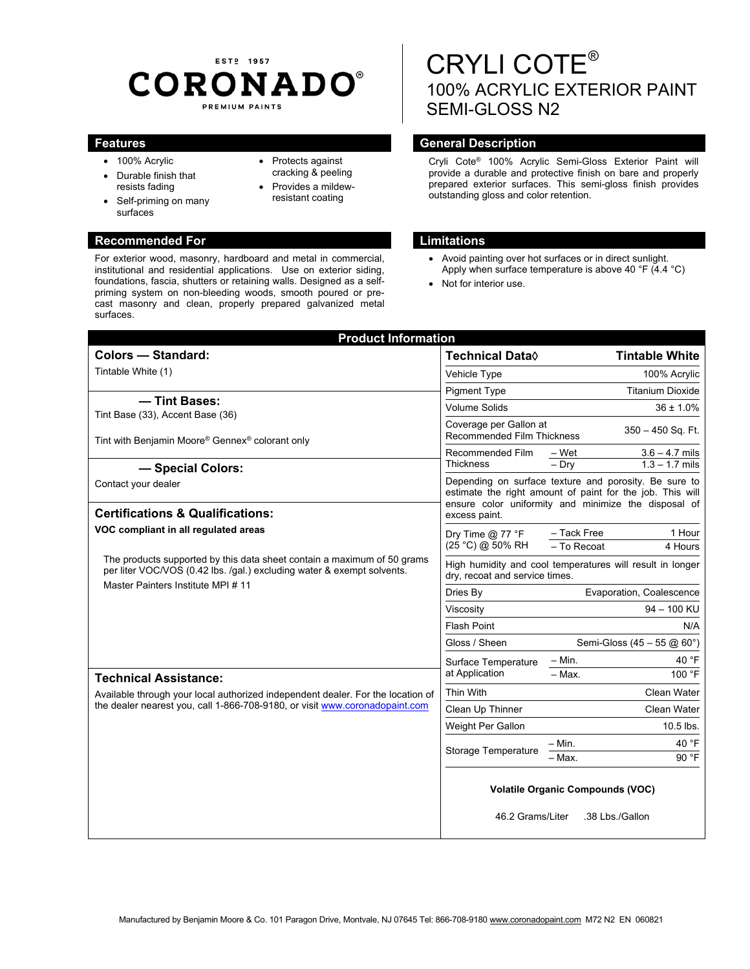# EST<sub>2</sub> 1957 **CORONADO®** PREMIUM PAINTS

• Protects against cracking & peeling Provides a mildewresistant coating

- 100% Acrylic
- Durable finish that resists fading
- Self-priming on many surfaces

### **Recommended For Limitations and Limitations**

For exterior wood, masonry, hardboard and metal in commercial, institutional and residential applications. Use on exterior siding, foundations, fascia, shutters or retaining walls. Designed as a selfpriming system on non-bleeding woods, smooth poured or precast masonry and clean, properly prepared galvanized metal surfaces.

# CRYLI COTE® 100% ACRYLIC EXTERIOR PAINT SEMI-GLOSS N2

# **Features General Description Contract Description Acts**

Cryli Cote® 100% Acrylic Semi-Gloss Exterior Paint will provide a durable and protective finish on bare and properly prepared exterior surfaces. This semi-gloss finish provides outstanding gloss and color retention.

- Avoid painting over hot surfaces or in direct sunlight. Apply when surface temperature is above 40 °F (4.4 °C)
- Not for interior use.

| <b>Product Information</b>                                                                                                                                     |                                                                                                                                                                                             |                                                          |
|----------------------------------------------------------------------------------------------------------------------------------------------------------------|---------------------------------------------------------------------------------------------------------------------------------------------------------------------------------------------|----------------------------------------------------------|
| <b>Colors - Standard:</b>                                                                                                                                      | Technical Data $\Diamond$                                                                                                                                                                   | <b>Tintable White</b>                                    |
| Tintable White (1)                                                                                                                                             | Vehicle Type                                                                                                                                                                                | 100% Acrylic                                             |
|                                                                                                                                                                | <b>Pigment Type</b>                                                                                                                                                                         | <b>Titanium Dioxide</b>                                  |
| - Tint Bases:<br>Tint Base (33), Accent Base (36)                                                                                                              | <b>Volume Solids</b>                                                                                                                                                                        | $36 \pm 1.0\%$                                           |
| Tint with Benjamin Moore® Gennex® colorant only                                                                                                                | Coverage per Gallon at<br>Recommended Film Thickness                                                                                                                                        | 350 - 450 Sq. Ft.                                        |
| - Special Colors:                                                                                                                                              | Recommended Film<br>Thickness                                                                                                                                                               | $3.6 - 4.7$ mils<br>– Wet<br>$-$ Dry<br>$1.3 - 1.7$ mils |
| Contact your dealer<br><b>Certifications &amp; Qualifications:</b>                                                                                             | Depending on surface texture and porosity. Be sure to<br>estimate the right amount of paint for the job. This will<br>ensure color uniformity and minimize the disposal of<br>excess paint. |                                                          |
| VOC compliant in all regulated areas                                                                                                                           | Dry Time $@$ 77 °F<br>(25 °C) @ 50% RH                                                                                                                                                      | 1 Hour<br>- Tack Free<br>- To Recoat<br>4 Hours          |
| The products supported by this data sheet contain a maximum of 50 grams<br>per liter VOC/VOS (0.42 lbs. /qal.) excluding water & exempt solvents.              | High humidity and cool temperatures will result in longer<br>drv. recoat and service times.                                                                                                 |                                                          |
| Master Painters Institute MPI # 11                                                                                                                             | Dries By                                                                                                                                                                                    | Evaporation, Coalescence                                 |
|                                                                                                                                                                | Viscosity                                                                                                                                                                                   | 94 - 100 KU                                              |
|                                                                                                                                                                | <b>Flash Point</b>                                                                                                                                                                          | N/A                                                      |
|                                                                                                                                                                | Gloss / Sheen                                                                                                                                                                               | Semi-Gloss (45 - 55 $(20.60)$ )                          |
|                                                                                                                                                                | Surface Temperature                                                                                                                                                                         | $-$ Min.<br>40 °F                                        |
| <b>Technical Assistance:</b>                                                                                                                                   | at Application                                                                                                                                                                              | $-$ Max.<br>100 °F                                       |
| Available through your local authorized independent dealer. For the location of<br>the dealer nearest you, call 1-866-708-9180, or visit www.coronadopaint.com | Thin With                                                                                                                                                                                   | Clean Water                                              |
|                                                                                                                                                                | Clean Up Thinner                                                                                                                                                                            | <b>Clean Water</b>                                       |
|                                                                                                                                                                | Weight Per Gallon                                                                                                                                                                           | 10.5 lbs.                                                |
|                                                                                                                                                                | Storage Temperature                                                                                                                                                                         | 40 °F<br>– Min.                                          |
|                                                                                                                                                                |                                                                                                                                                                                             | 90 °F<br>- Max.                                          |
|                                                                                                                                                                | <b>Volatile Organic Compounds (VOC)</b>                                                                                                                                                     |                                                          |
|                                                                                                                                                                | 46.2 Grams/Liter                                                                                                                                                                            | .38 Lbs./Gallon                                          |